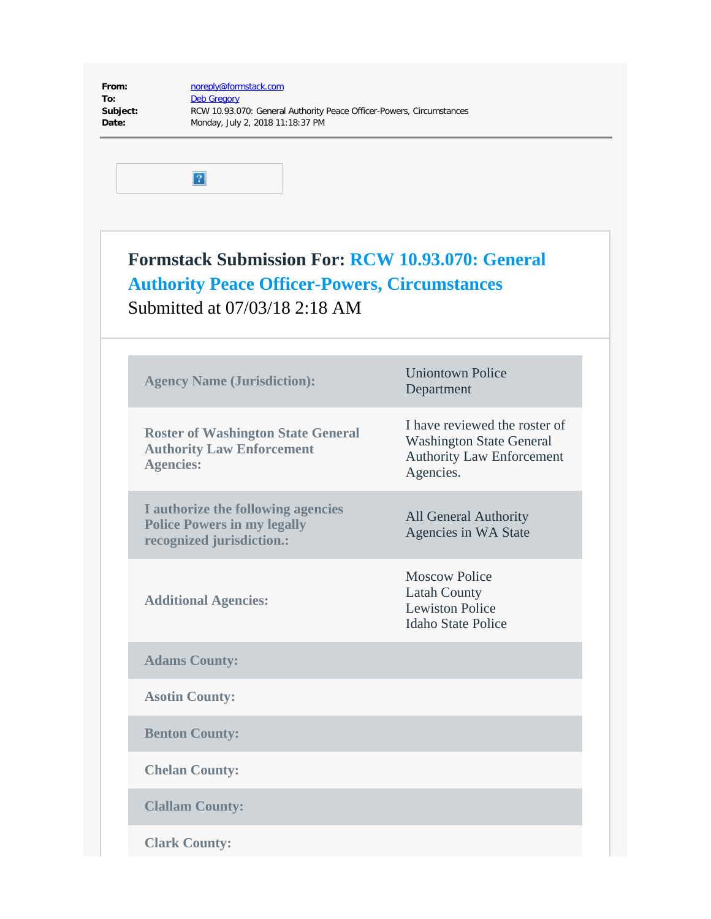| From:    |
|----------|
| To:      |
| Subject: |
| Date:    |

**From:** [noreply@formstack.com](mailto:noreply@formstack.com) **[Deb Gregory](mailto:dgregory@waspc.org) Subject:** RCW 10.93.070: General Authority Peace Officer-Powers, Circumstances **Date:** Monday, July 2, 2018 11:18:37 PM



## **Formstack Submission For: [RCW 10.93.070: General](https://waspc.formstack.com/forms/rcw_1093070_general_authority_peace_officerpowers_circumstances) [Authority Peace Officer-Powers, Circumstances](https://waspc.formstack.com/forms/rcw_1093070_general_authority_peace_officerpowers_circumstances)** Submitted at 07/03/18 2:18 AM

| <b>Agency Name (Jurisdiction):</b>                                                                    | <b>Uniontown Police</b><br>Department                                                                             |
|-------------------------------------------------------------------------------------------------------|-------------------------------------------------------------------------------------------------------------------|
| <b>Roster of Washington State General</b><br><b>Authority Law Enforcement</b><br><b>Agencies:</b>     | I have reviewed the roster of<br><b>Washington State General</b><br><b>Authority Law Enforcement</b><br>Agencies. |
| I authorize the following agencies<br><b>Police Powers in my legally</b><br>recognized jurisdiction.: | <b>All General Authority</b><br>Agencies in WA State                                                              |
| <b>Additional Agencies:</b>                                                                           | <b>Moscow Police</b><br><b>Latah County</b><br><b>Lewiston Police</b><br><b>Idaho State Police</b>                |
| <b>Adams County:</b>                                                                                  |                                                                                                                   |
| <b>Asotin County:</b>                                                                                 |                                                                                                                   |
| <b>Benton County:</b>                                                                                 |                                                                                                                   |
| <b>Chelan County:</b>                                                                                 |                                                                                                                   |
| <b>Clallam County:</b>                                                                                |                                                                                                                   |
| <b>Clark County:</b>                                                                                  |                                                                                                                   |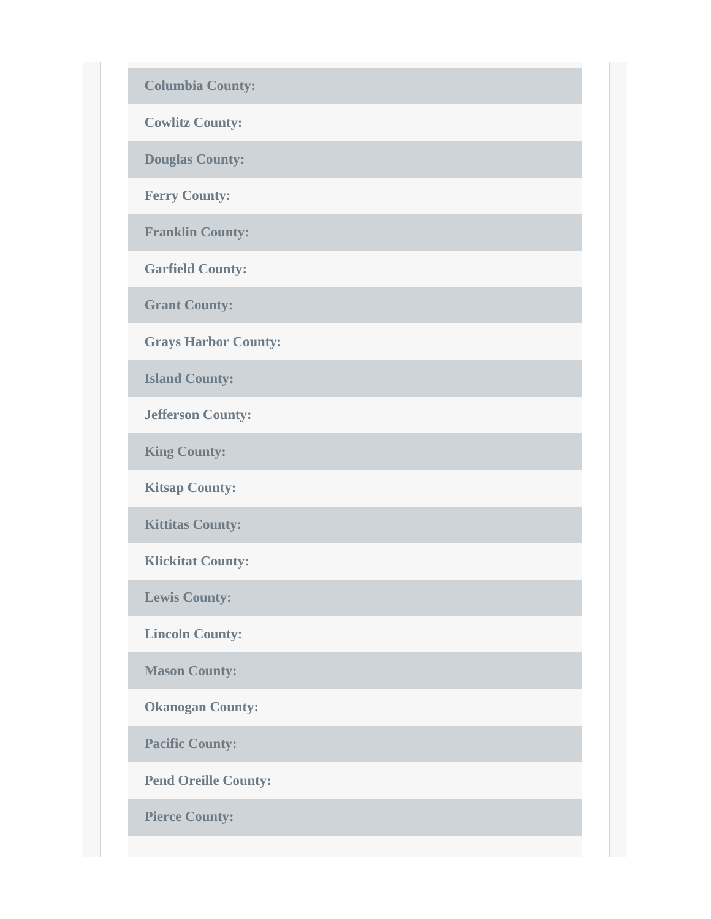**Columbia County:**

**Cowlitz County:**

**Douglas County:**

**Ferry County:**

**Franklin County:**

**Garfield County:**

**Grant County:**

**Grays Harbor County:**

**Island County:**

**Jefferson County:**

**King County:**

**Kitsap County:**

**Kittitas County:**

**Klickitat County:**

**Lewis County:**

**Lincoln County:**

**Mason County:**

**Okanogan County:**

**Pacific County:**

**Pend Oreille County:**

**Pierce County:**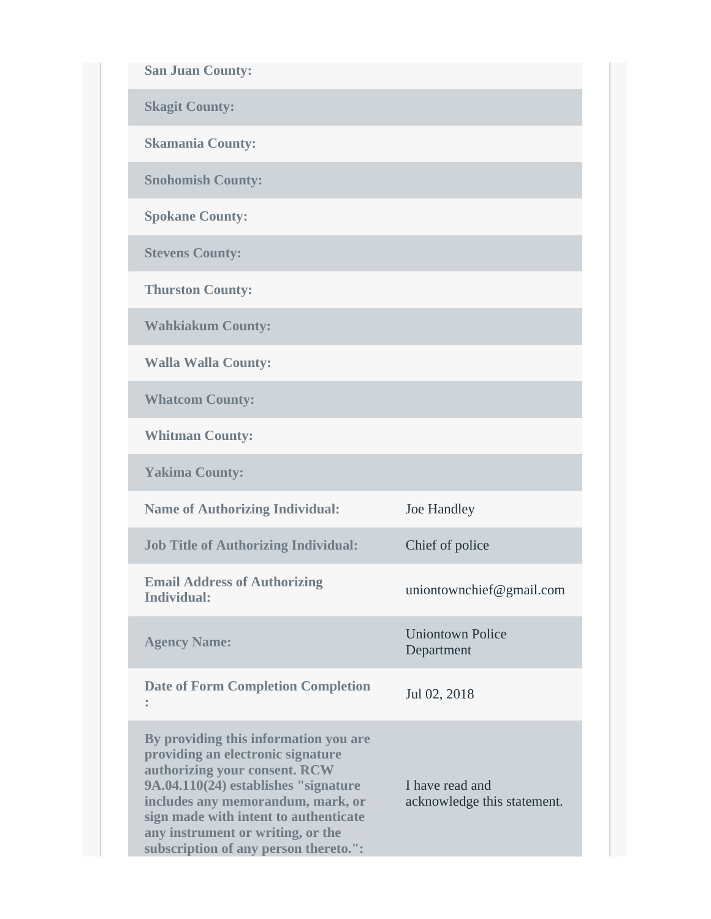**San Juan County:**

**Skagit County:**

**Skamania County:**

**Snohomish County:**

**Spokane County:**

**Stevens County:**

**Thurston County:**

**Wahkiakum County:**

**Walla Walla County:**

**Whatcom County:**

**Whitman County:**

**Yakima County:**

**Name of Authorizing Individual:** Joe Handley **Job Title of Authorizing Individual:** Chief of police **Email Address of Authorizing Individual:** uniontownchief@gmail.com **Agency Name:** Uniontown Police Department **Date of Form Completion Completion :** Jul 02, 2018 **By providing this information you are providing an electronic signature authorizing your consent. RCW 9A.04.110(24) establishes "signature**

**includes any memorandum, mark, or sign made with intent to authenticate any instrument or writing, or the subscription of any person thereto.":**

I have read and acknowledge this statement.